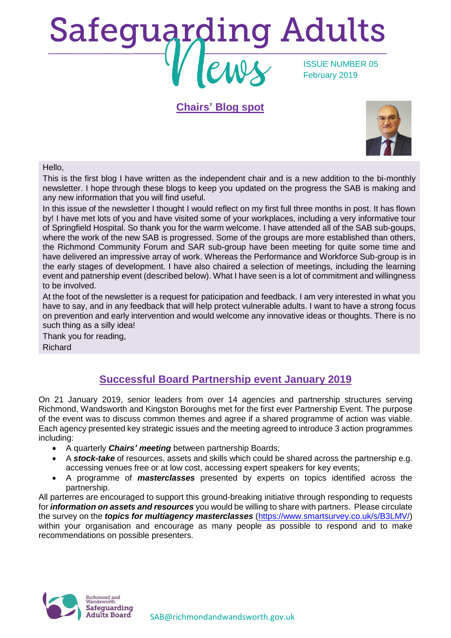# **Safeguarding Adults** ISSUE NUMBER 05 February 2019

#### **Chairs' Blog spot**



#### Hello,

This is the first blog I have written as the independent chair and is a new addition to the bi-monthly newsletter. I hope through these blogs to keep you updated on the progress the SAB is making and any new information that you will find useful.

In this issue of the newsletter I thought I would reflect on my first full three months in post. It has flown by! I have met lots of you and have visited some of your workplaces, including a very informative tour of Springfield Hospital. So thank you for the warm welcome. I have attended all of the SAB sub-goups, where the work of the new SAB is progressed. Some of the groups are more established than others, the Richmond Community Forum and SAR sub-group have been meeting for quite some time and have delivered an impressive array of work. Whereas the Performance and Workforce Sub-group is in the early stages of development. I have also chaired a selection of meetings, including the learning event and patnership event (described below). What I have seen is a lot of commitment and willingness to be involved.

At the foot of the newsletter is a request for paticipation and feedback. I am very interested in what you have to say, and in any feedback that will help protect vulnerable adults. I want to have a strong focus on prevention and early intervention and would welcome any innovative ideas or thoughts. There is no such thing as a silly idea!

Thank you for reading, Richard

## **Successful Board Partnership event January 2019**

On 21 January 2019, senior leaders from over 14 agencies and partnership structures serving Richmond, Wandsworth and Kingston Boroughs met for the first ever Partnership Event. The purpose of the event was to discuss common themes and agree if a shared programme of action was viable. Each agency presented key strategic issues and the meeting agreed to introduce 3 action programmes including:

- A quarterly *Chairs' meeting* between partnership Boards;
- A *stock-take* of resources, assets and skills which could be shared across the partnership e.g. accessing venues free or at low cost, accessing expert speakers for key events;
- A programme of *masterclasses* presented by experts on topics identified across the partnership.

All parterres are encouraged to support this ground-breaking initiative through responding to requests for *information on assets and resources* you would be willing to share with partners. Please circulate the survey on the *topics for multiagency masterclasses* [\(https://www.smartsurvey.co.uk/s/B3LMV/\)](https://www.smartsurvey.co.uk/s/B3LMV/) within your organisation and encourage as many people as possible to respond and to make recommendations on possible presenters.